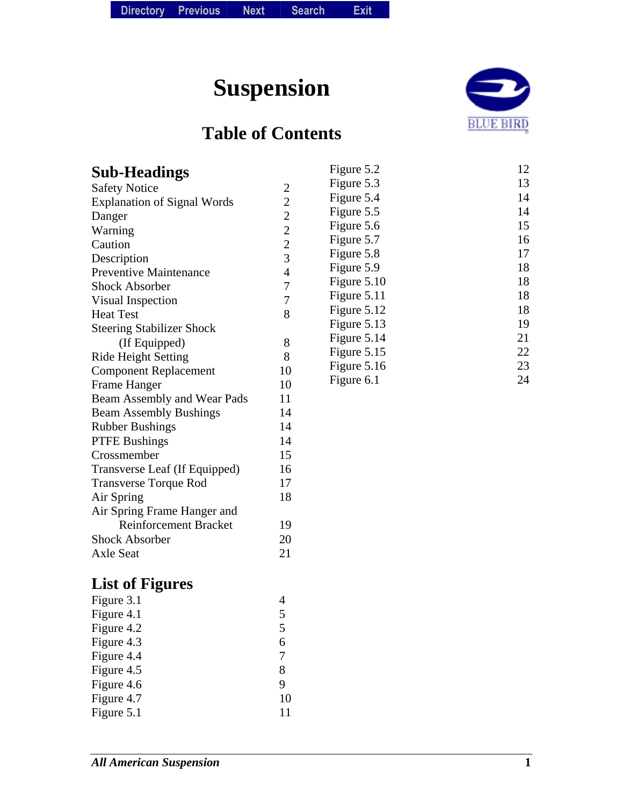# **Suspension**

### **Table of Contents**



| <b>Sub-Headings</b>                          |                | Figure 5.2  | 12 |
|----------------------------------------------|----------------|-------------|----|
| <b>Safety Notice</b>                         |                | Figure 5.3  | 13 |
| <b>Explanation of Signal Words</b>           | $\frac{2}{2}$  | Figure 5.4  | 14 |
|                                              | $\overline{2}$ | Figure 5.5  | 14 |
| Danger                                       | $\overline{c}$ | Figure 5.6  | 15 |
| Warning<br>Caution                           |                | Figure 5.7  | 16 |
|                                              | $\frac{2}{3}$  | Figure 5.8  | 17 |
| Description<br><b>Preventive Maintenance</b> | $\overline{4}$ | Figure 5.9  | 18 |
| <b>Shock Absorber</b>                        | $\overline{7}$ | Figure 5.10 | 18 |
|                                              | $\overline{7}$ | Figure 5.11 | 18 |
| Visual Inspection                            | 8              | Figure 5.12 | 18 |
| <b>Heat Test</b>                             |                | Figure 5.13 | 19 |
| <b>Steering Stabilizer Shock</b>             |                | Figure 5.14 | 21 |
| (If Equipped)                                | 8<br>8         | Figure 5.15 | 22 |
| Ride Height Setting                          |                | Figure 5.16 | 23 |
| <b>Component Replacement</b>                 | 10             | Figure 6.1  | 24 |
| Frame Hanger                                 | 10             |             |    |
| Beam Assembly and Wear Pads                  | 11<br>14       |             |    |
| <b>Beam Assembly Bushings</b>                |                |             |    |
| <b>Rubber Bushings</b>                       | 14             |             |    |
| <b>PTFE Bushings</b>                         | 14             |             |    |
| Crossmember                                  | 15             |             |    |
| Transverse Leaf (If Equipped)                | 16             |             |    |
| <b>Transverse Torque Rod</b>                 | 17             |             |    |
| Air Spring                                   | 18             |             |    |
| Air Spring Frame Hanger and                  |                |             |    |
| <b>Reinforcement Bracket</b>                 | 19             |             |    |
| <b>Shock Absorber</b>                        | 20             |             |    |
| <b>Axle Seat</b>                             | 21             |             |    |
| <b>List of Figures</b>                       |                |             |    |
| Figure 3.1                                   | 4              |             |    |
| Figure 4.1                                   | 5              |             |    |
| Figure 4.2                                   | 5              |             |    |
| Figure 4.3                                   | 6              |             |    |

Figure 5.1

Figure 4.3 6<br>Figure 4.4 7 Figure 4.4 7<br>Figure 4.5 8 Figure 4.5 8<br>Figure 4.6 9 Figure 4.6 9<br>Figure 4.7 10 Figure 4.7 10<br>Figure 5.1 11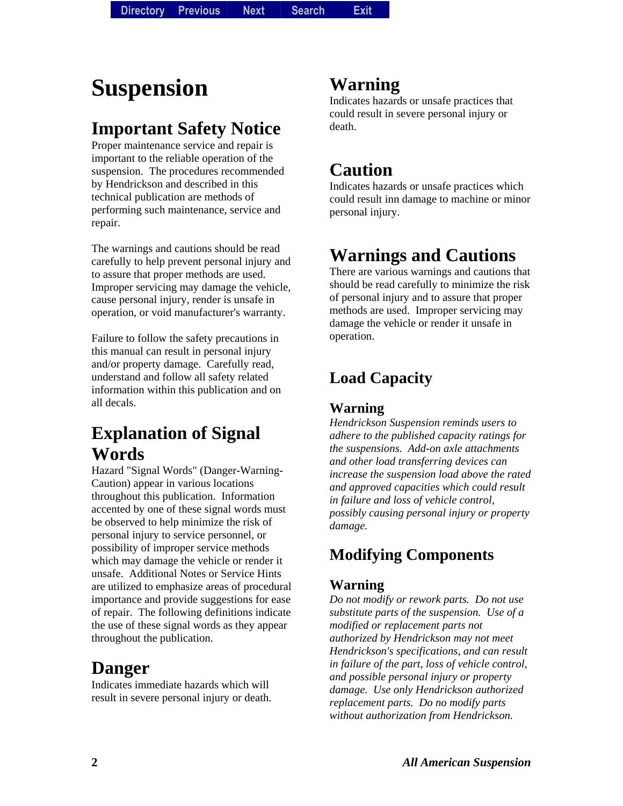# **Suspension**

### **Important Safety Notice**

Proper maintenance service and repair is important to the reliable operation of the suspension. The procedures recommended by Hendrickson and described in this technical publication are methods of performing such maintenance, service and repair.

The warnings and cautions should be read carefully to help prevent personal injury and to assure that proper methods are used. Improper servicing may damage the vehicle, cause personal injury, render is unsafe in operation, or void manufacturer's warranty.

Failure to follow the safety precautions in this manual can result in personal injury and/or property damage. Carefully read, understand and follow all safety related information within this publication and on all decals.

### **Explanation of Signal Words**

Hazard "Signal Words" (Danger-Warning-Caution) appear in various locations throughout this publication. Information accented by one of these signal words must be observed to help minimize the risk of personal injury to service personnel, or possibility of improper service methods which may damage the vehicle or render it unsafe. Additional Notes or Service Hints are utilized to emphasize areas of procedural importance and provide suggestions for ease of repair. The following definitions indicate the use of these signal words as they appear throughout the publication.

### **Danger**

Indicates immediate hazards which will result in severe personal injury or death.

### **Warning**

Indicates hazards or unsafe practices that could result in severe personal injury or death.

### **Caution**

Indicates hazards or unsafe practices which could result inn damage to machine or minor personal injury.

### **Warnings and Cautions**

There are various warnings and cautions that should be read carefully to minimize the risk of personal injury and to assure that proper methods are used. Improper servicing may damage the vehicle or render it unsafe in operation.

### **Load Capacity**

#### **Warning**

*Hendrickson Suspension reminds users to adhere to the published capacity ratings for the suspensions. Add-on axle attachments and other load transferring devices can increase the suspension load above the rated and approved capacities which could result in failure and loss of vehicle control, possibly causing personal injury or property damage.* 

### **Modifying Components**

#### **Warning**

*Do not modify or rework parts. Do not use substitute parts of the suspension. Use of a modified or replacement parts not authorized by Hendrickson may not meet Hendrickson's specifications, and can result in failure of the part, loss of vehicle control, and possible personal injury or property damage. Use only Hendrickson authorized replacement parts. Do no modify parts without authorization from Hendrickson.*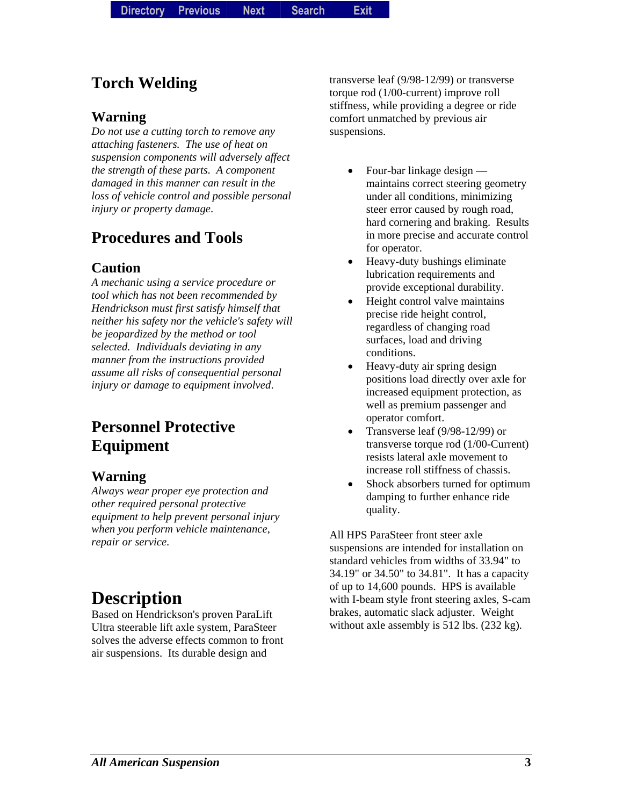### **Torch Welding**

#### **Warning**

*Do not use a cutting torch to remove any attaching fasteners. The use of heat on suspension components will adversely affect the strength of these parts. A component damaged in this manner can result in the loss of vehicle control and possible personal injury or property damage*.

### **Procedures and Tools**

#### **Caution**

*A mechanic using a service procedure or tool which has not been recommended by Hendrickson must first satisfy himself that neither his safety nor the vehicle's safety will be jeopardized by the method or tool selected. Individuals deviating in any manner from the instructions provided assume all risks of consequential personal injury or damage to equipment involved*.

### **Personnel Protective Equipment**

#### **Warning**

*Always wear proper eye protection and other required personal protective equipment to help prevent personal injury when you perform vehicle maintenance, repair or service*.

### **Description**

Based on Hendrickson's proven ParaLift Ultra steerable lift axle system, ParaSteer solves the adverse effects common to front air suspensions. Its durable design and

transverse leaf (9/98-12/99) or transverse torque rod (1/00-current) improve roll stiffness, while providing a degree or ride comfort unmatched by previous air suspensions.

- Four-bar linkage design maintains correct steering geometry under all conditions, minimizing steer error caused by rough road, hard cornering and braking. Results in more precise and accurate control for operator.
- Heavy-duty bushings eliminate lubrication requirements and provide exceptional durability.
- Height control valve maintains precise ride height control, regardless of changing road surfaces, load and driving conditions.
- Heavy-duty air spring design positions load directly over axle for increased equipment protection, as well as premium passenger and operator comfort.
- Transverse leaf (9/98-12/99) or transverse torque rod (1/00-Current) resists lateral axle movement to increase roll stiffness of chassis.
- Shock absorbers turned for optimum damping to further enhance ride quality.

All HPS ParaSteer front steer axle suspensions are intended for installation on standard vehicles from widths of 33.94" to 34.19" or 34.50" to 34.81". It has a capacity of up to 14,600 pounds. HPS is available with I-beam style front steering axles, S-cam brakes, automatic slack adjuster. Weight without axle assembly is 512 lbs. (232 kg).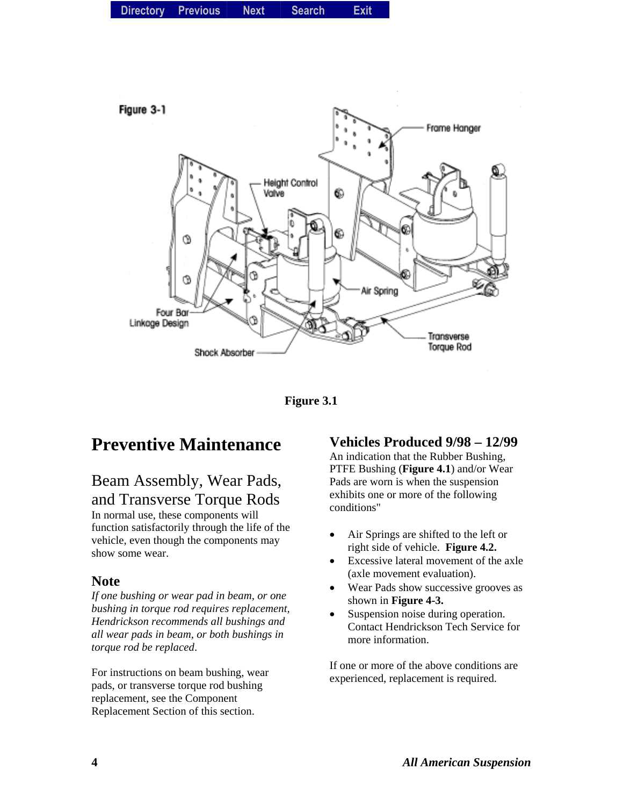



### **Preventive Maintenance**

#### Beam Assembly, Wear Pads, and Transverse Torque Rods

In normal use, these components will function satisfactorily through the life of the vehicle, even though the components may show some wear.

#### **Note**

*If one bushing or wear pad in beam, or one bushing in torque rod requires replacement, Hendrickson recommends all bushings and all wear pads in beam, or both bushings in torque rod be replaced*.

For instructions on beam bushing, wear pads, or transverse torque rod bushing replacement, see the Component Replacement Section of this section.

#### **Vehicles Produced 9/98 – 12/99**

An indication that the Rubber Bushing, PTFE Bushing (**Figure 4.1**) and/or Wear Pads are worn is when the suspension exhibits one or more of the following conditions"

- Air Springs are shifted to the left or right side of vehicle. **Figure 4.2.**
- Excessive lateral movement of the axle (axle movement evaluation).
- Wear Pads show successive grooves as shown in **Figure 4-3.**
- Suspension noise during operation. Contact Hendrickson Tech Service for more information.

If one or more of the above conditions are experienced, replacement is required.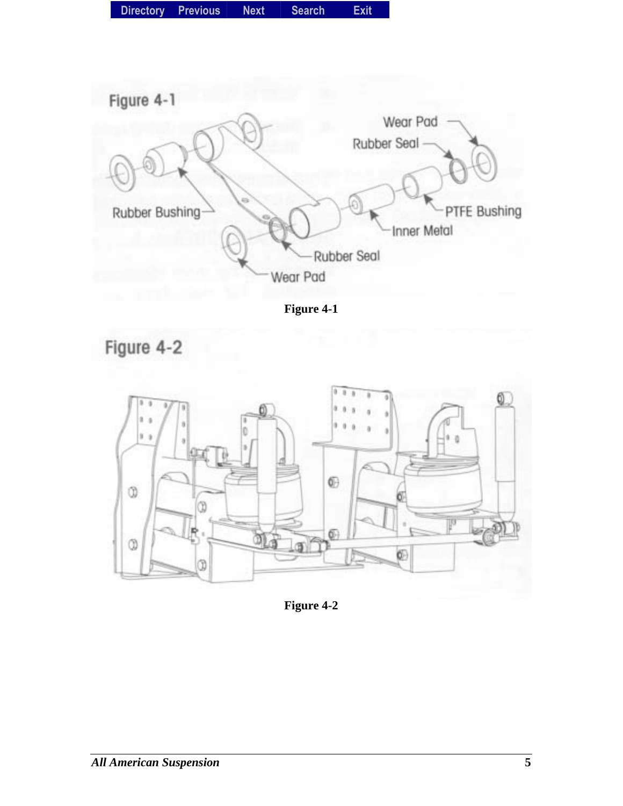| Directory Previous<br><b>Next</b> | <b>Search</b> | <b>Exit</b> |
|-----------------------------------|---------------|-------------|
|-----------------------------------|---------------|-------------|



**Figure 4-1** 





**Figure 4-2**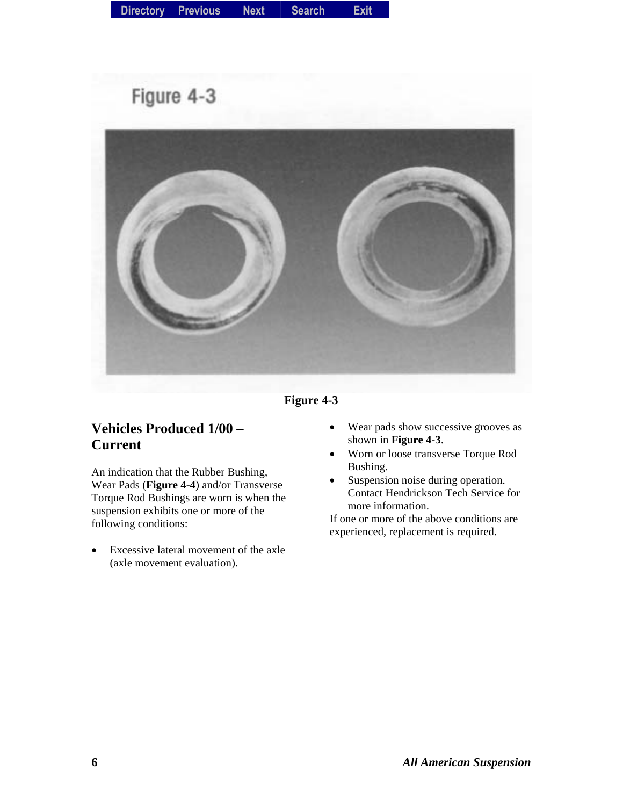## Figure 4-3



**Figure 4-3** 

#### **Vehicles Produced 1/00 – Current**

An indication that the Rubber Bushing, Wear Pads (**Figure 4-4**) and/or Transverse Torque Rod Bushings are worn is when the suspension exhibits one or more of the following conditions:

• Excessive lateral movement of the axle (axle movement evaluation).

- Wear pads show successive grooves as shown in **Figure 4-3**.
- Worn or loose transverse Torque Rod Bushing.
- Suspension noise during operation. Contact Hendrickson Tech Service for more information.

If one or more of the above conditions are experienced, replacement is required.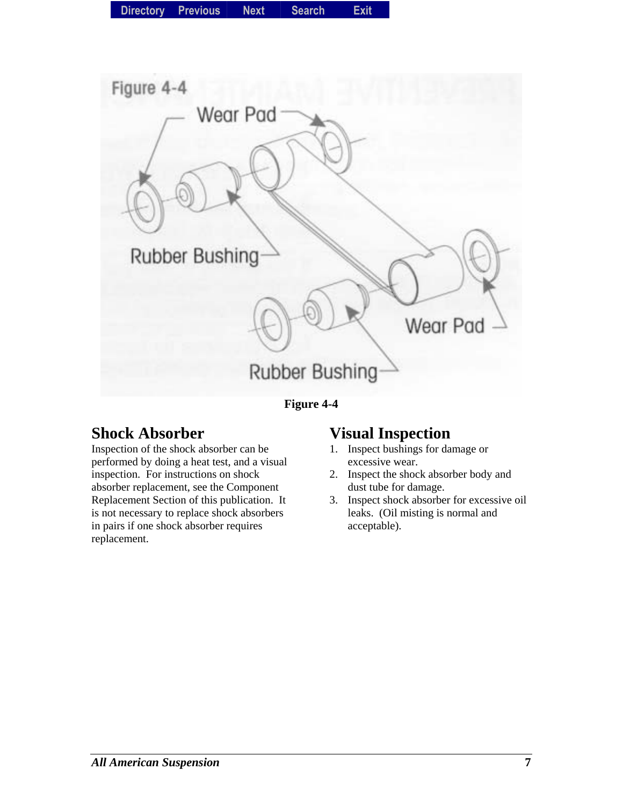

**Figure 4-4** 

### **Shock Absorber**

Inspection of the shock absorber can be performed by doing a heat test, and a visual inspection. For instructions on shock absorber replacement, see the Component Replacement Section of this publication. It is not necessary to replace shock absorbers in pairs if one shock absorber requires replacement.

### **Visual Inspection**

- 1. Inspect bushings for damage or excessive wear.
- 2. Inspect the shock absorber body and dust tube for damage.
- 3. Inspect shock absorber for excessive oil leaks. (Oil misting is normal and acceptable).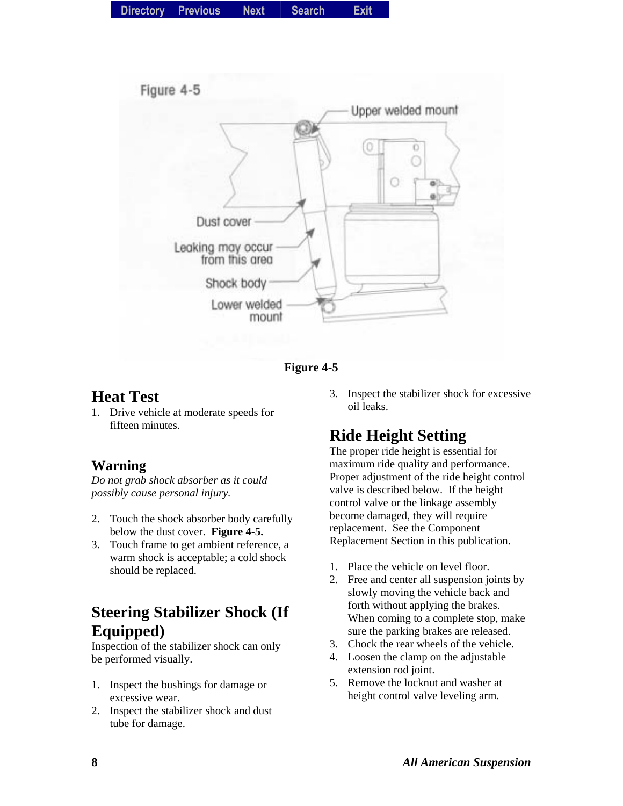| Directory Previous |  | <b>Next</b> | <b>Search</b> | Exit |
|--------------------|--|-------------|---------------|------|
|--------------------|--|-------------|---------------|------|





#### **Heat Test**

1. Drive vehicle at moderate speeds for fifteen minutes.

#### **Warning**

*Do not grab shock absorber as it could possibly cause personal injury.* 

- 2. Touch the shock absorber body carefully below the dust cover. **Figure 4-5.**
- 3. Touch frame to get ambient reference, a warm shock is acceptable; a cold shock should be replaced.

### **Steering Stabilizer Shock (If Equipped)**

Inspection of the stabilizer shock can only be performed visually.

- 1. Inspect the bushings for damage or excessive wear.
- 2. Inspect the stabilizer shock and dust tube for damage.

3. Inspect the stabilizer shock for excessive oil leaks.

### **Ride Height Setting**

The proper ride height is essential for maximum ride quality and performance. Proper adjustment of the ride height control valve is described below. If the height control valve or the linkage assembly become damaged, they will require replacement. See the Component Replacement Section in this publication.

- 1. Place the vehicle on level floor.
- 2. Free and center all suspension joints by slowly moving the vehicle back and forth without applying the brakes. When coming to a complete stop, make sure the parking brakes are released.
- 3. Chock the rear wheels of the vehicle.
- 4. Loosen the clamp on the adjustable extension rod joint.
- 5. Remove the locknut and washer at height control valve leveling arm.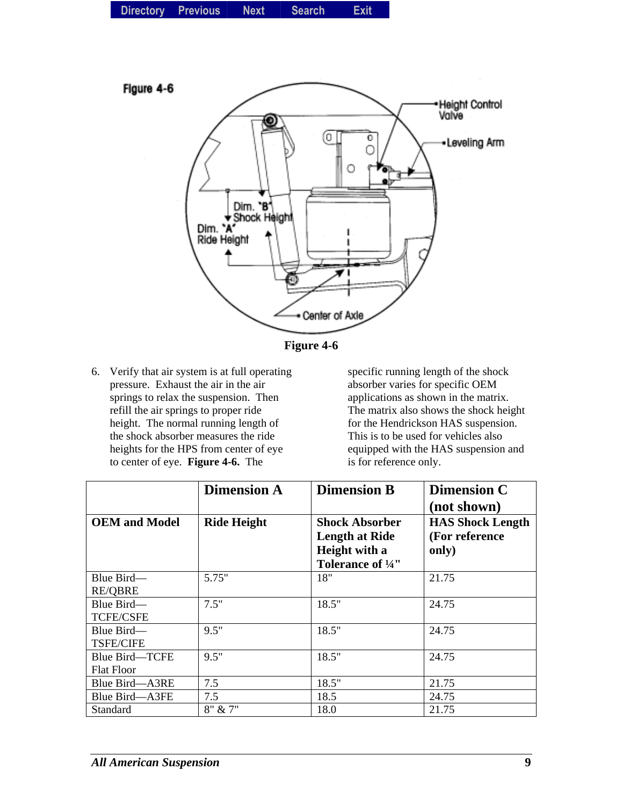|  | Directory Previous | <b>Next</b> | <b>Search</b> | Exit |
|--|--------------------|-------------|---------------|------|
|--|--------------------|-------------|---------------|------|





6. Verify that air system is at full operating pressure. Exhaust the air in the air springs to relax the suspension. Then refill the air springs to proper ride height. The normal running length of the shock absorber measures the ride heights for the HPS from center of eye to center of eye. **Figure 4-6.** The

specific running length of the shock absorber varies for specific OEM applications as shown in the matrix. The matrix also shows the shock height for the Hendrickson HAS suspension. This is to be used for vehicles also equipped with the HAS suspension and is for reference only.

|                                     | <b>Dimension A</b> | <b>Dimension B</b>                                                                               | <b>Dimension C</b><br>(not shown)                  |
|-------------------------------------|--------------------|--------------------------------------------------------------------------------------------------|----------------------------------------------------|
| <b>OEM</b> and Model                | <b>Ride Height</b> | <b>Shock Absorber</b><br><b>Length at Ride</b><br>Height with a<br>Tolerance of <sup>1</sup> /4" | <b>HAS Shock Length</b><br>(For reference<br>only) |
| Blue Bird—<br><b>RE/QBRE</b>        | 5.75"              | 18"                                                                                              | 21.75                                              |
| Blue Bird-<br><b>TCFE/CSFE</b>      | 7.5"               | 18.5"                                                                                            | 24.75                                              |
| Blue Bird-<br><b>TSFE/CIFE</b>      | 9.5"               | 18.5"                                                                                            | 24.75                                              |
| Blue Bird—TCFE<br><b>Flat Floor</b> | 9.5"               | 18.5"                                                                                            | 24.75                                              |
| Blue Bird-A3RE                      | 7.5                | 18.5"                                                                                            | 21.75                                              |
| Blue Bird—A3FE                      | 7.5                | 18.5                                                                                             | 24.75                                              |
| Standard                            | 8" & 7"            | 18.0                                                                                             | 21.75                                              |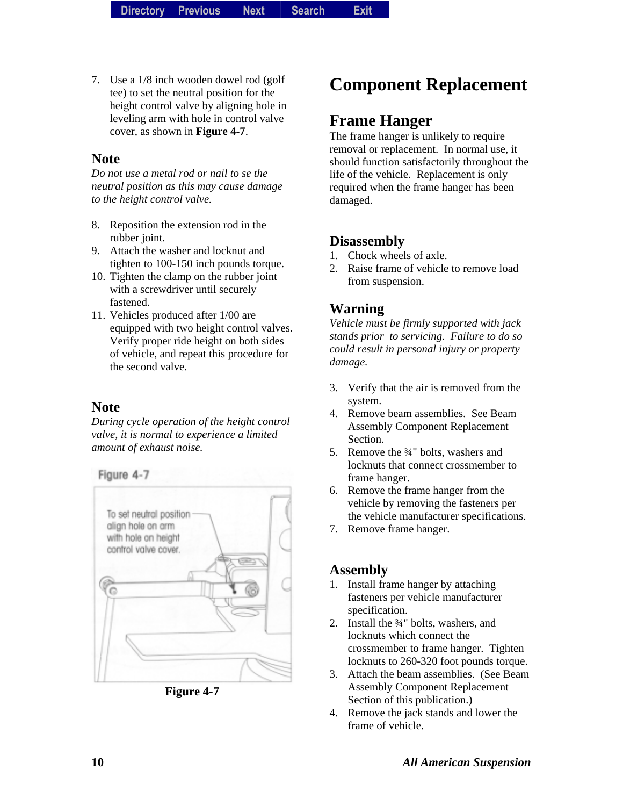7. Use a 1/8 inch wooden dowel rod (golf tee) to set the neutral position for the height control valve by aligning hole in leveling arm with hole in control valve cover, as shown in **Figure 4-7**.

#### **Note**

*Do not use a metal rod or nail to se the neutral position as this may cause damage to the height control valve.* 

- 8. Reposition the extension rod in the rubber joint.
- 9. Attach the washer and locknut and tighten to 100-150 inch pounds torque.
- 10. Tighten the clamp on the rubber joint with a screwdriver until securely fastened.
- 11. Vehicles produced after 1/00 are equipped with two height control valves. Verify proper ride height on both sides of vehicle, and repeat this procedure for the second valve.

#### **Note**

*During cycle operation of the height control valve, it is normal to experience a limited amount of exhaust noise.* 

Figure 4-7



**Figure 4-7** 

### **Component Replacement**

#### **Frame Hanger**

The frame hanger is unlikely to require removal or replacement. In normal use, it should function satisfactorily throughout the life of the vehicle. Replacement is only required when the frame hanger has been damaged.

#### **Disassembly**

- 1. Chock wheels of axle.
- 2. Raise frame of vehicle to remove load from suspension.

#### **Warning**

*Vehicle must be firmly supported with jack stands prior to servicing. Failure to do so could result in personal injury or property damage.* 

- 3. Verify that the air is removed from the system.
- 4. Remove beam assemblies. See Beam Assembly Component Replacement Section.
- 5. Remove the <sup>3</sup>/<sub>4</sub>" bolts, washers and locknuts that connect crossmember to frame hanger.
- 6. Remove the frame hanger from the vehicle by removing the fasteners per the vehicle manufacturer specifications.
- 7. Remove frame hanger.

#### **Assembly**

- 1. Install frame hanger by attaching fasteners per vehicle manufacturer specification.
- 2. Install the ¾" bolts, washers, and locknuts which connect the crossmember to frame hanger. Tighten locknuts to 260-320 foot pounds torque.
- 3. Attach the beam assemblies. (See Beam Assembly Component Replacement Section of this publication.)
- 4. Remove the jack stands and lower the frame of vehicle.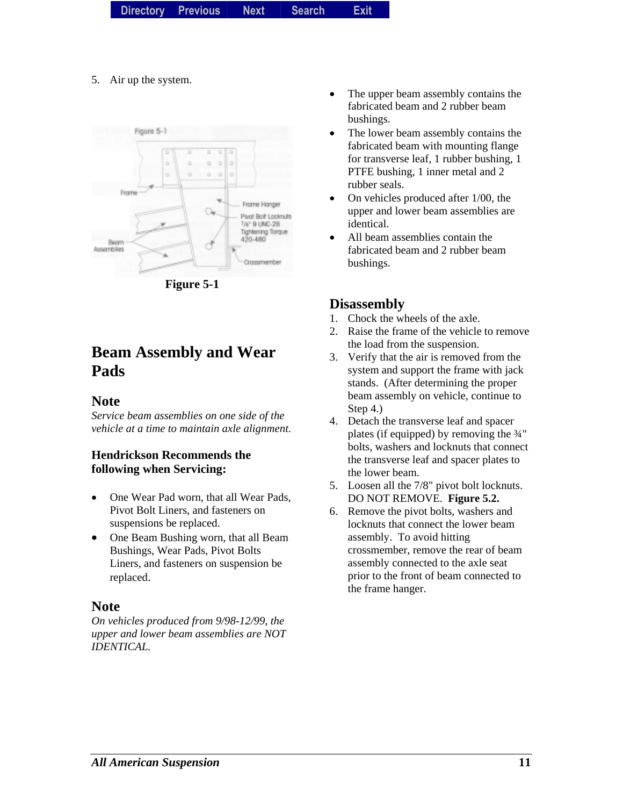|  | Directory Previous | <b>Next</b> | <b>Search</b> | Exit |
|--|--------------------|-------------|---------------|------|
|--|--------------------|-------------|---------------|------|

5. Air up the system.



**Figure 5-1** 

### **Beam Assembly and Wear Pads**

#### **Note**

*Service beam assemblies on one side of the vehicle at a time to maintain axle alignment*.

#### **Hendrickson Recommends the following when Servicing:**

- One Wear Pad worn, that all Wear Pads, Pivot Bolt Liners, and fasteners on suspensions be replaced.
- One Beam Bushing worn, that all Beam Bushings, Wear Pads, Pivot Bolts Liners, and fasteners on suspension be replaced.

#### **Note**

*On vehicles produced from 9/98-12/99, the upper and lower beam assemblies are NOT IDENTICAL.* 

- The upper beam assembly contains the fabricated beam and 2 rubber beam bushings.
- The lower beam assembly contains the fabricated beam with mounting flange for transverse leaf, 1 rubber bushing, 1 PTFE bushing, 1 inner metal and 2 rubber seals.
- On vehicles produced after 1/00, the upper and lower beam assemblies are identical.
- All beam assemblies contain the fabricated beam and 2 rubber beam bushings.

#### **Disassembly**

- 1. Chock the wheels of the axle.
- 2. Raise the frame of the vehicle to remove the load from the suspension.
- 3. Verify that the air is removed from the system and support the frame with jack stands. (After determining the proper beam assembly on vehicle, continue to Step 4.)
- 4. Detach the transverse leaf and spacer plates (if equipped) by removing the ¾" bolts, washers and locknuts that connect the transverse leaf and spacer plates to the lower beam.
- 5. Loosen all the 7/8" pivot bolt locknuts. DO NOT REMOVE. **Figure 5.2.**
- 6. Remove the pivot bolts, washers and locknuts that connect the lower beam assembly. To avoid hitting crossmember, remove the rear of beam assembly connected to the axle seat prior to the front of beam connected to the frame hanger.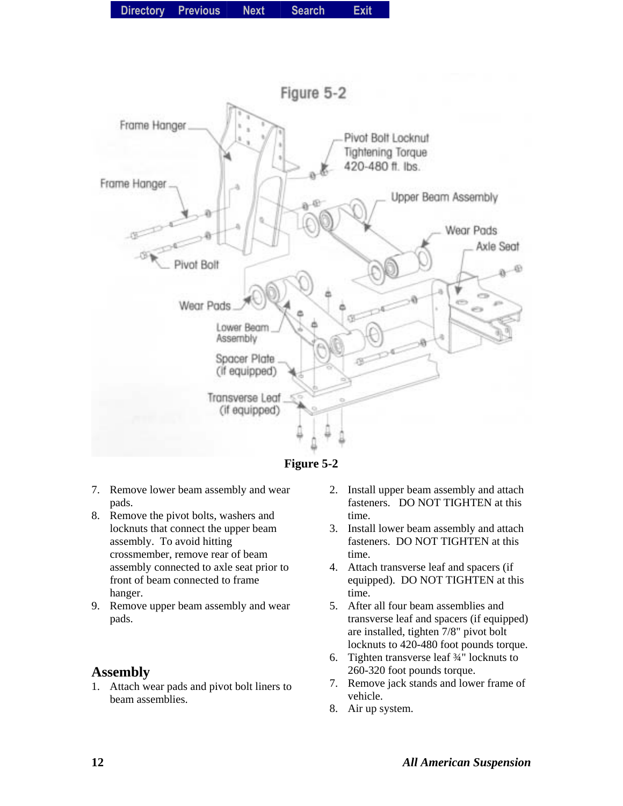

**Figure 5-2** 

- 7. Remove lower beam assembly and wear pads.
- 8. Remove the pivot bolts, washers and locknuts that connect the upper beam assembly. To avoid hitting crossmember, remove rear of beam assembly connected to axle seat prior to front of beam connected to frame hanger.
- 9. Remove upper beam assembly and wear pads.

1. Attach wear pads and pivot bolt liners to beam assemblies.

- 2. Install upper beam assembly and attach fasteners. DO NOT TIGHTEN at this time.
- 3. Install lower beam assembly and attach fasteners. DO NOT TIGHTEN at this time.
- 4. Attach transverse leaf and spacers (if equipped). DO NOT TIGHTEN at this time.
- 5. After all four beam assemblies and transverse leaf and spacers (if equipped) are installed, tighten 7/8" pivot bolt locknuts to 420-480 foot pounds torque.
- 6. Tighten transverse leaf ¾" locknuts to 260-320 foot pounds torque.
- 7. Remove jack stands and lower frame of vehicle.
- 8. Air up system.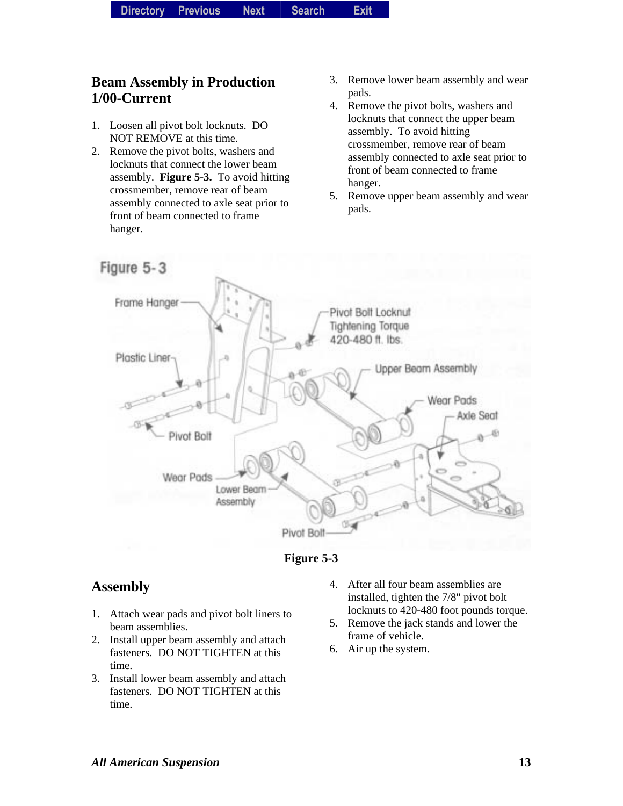#### **Beam Assembly in Production 1/00-Current**

- 1. Loosen all pivot bolt locknuts. DO NOT REMOVE at this time.
- 2. Remove the pivot bolts, washers and locknuts that connect the lower beam assembly. **Figure 5-3.** To avoid hitting crossmember, remove rear of beam assembly connected to axle seat prior to front of beam connected to frame hanger.
- 3. Remove lower beam assembly and wear pads.
- 4. Remove the pivot bolts, washers and locknuts that connect the upper beam assembly. To avoid hitting crossmember, remove rear of beam assembly connected to axle seat prior to front of beam connected to frame hanger.
- 5. Remove upper beam assembly and wear pads.



**Figure 5-3** 

#### **Assembly**

- 1. Attach wear pads and pivot bolt liners to beam assemblies.
- 2. Install upper beam assembly and attach fasteners. DO NOT TIGHTEN at this time.
- 3. Install lower beam assembly and attach fasteners. DO NOT TIGHTEN at this time.
- 4. After all four beam assemblies are installed, tighten the 7/8" pivot bolt locknuts to 420-480 foot pounds torque.
- 5. Remove the jack stands and lower the frame of vehicle.
- 6. Air up the system.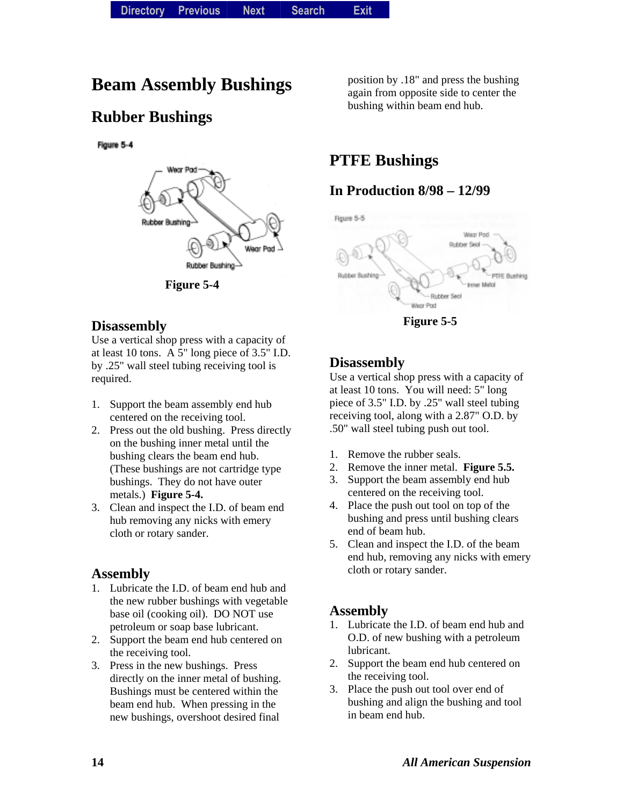### **Beam Assembly Bushings**

### **Rubber Bushings**

Figure 5-4



**Figure 5-4** 

#### **Disassembly**

Use a vertical shop press with a capacity of at least 10 tons. A 5" long piece of 3.5" I.D. by .25" wall steel tubing receiving tool is required.

- 1. Support the beam assembly end hub centered on the receiving tool.
- 2. Press out the old bushing. Press directly on the bushing inner metal until the bushing clears the beam end hub. (These bushings are not cartridge type bushings. They do not have outer metals.) **Figure 5-4.**
- 3. Clean and inspect the I.D. of beam end hub removing any nicks with emery cloth or rotary sander.

#### **Assembly**

- 1. Lubricate the I.D. of beam end hub and the new rubber bushings with vegetable base oil (cooking oil). DO NOT use petroleum or soap base lubricant.
- 2. Support the beam end hub centered on the receiving tool.
- 3. Press in the new bushings. Press directly on the inner metal of bushing. Bushings must be centered within the beam end hub. When pressing in the new bushings, overshoot desired final

position by .18" and press the bushing again from opposite side to center the bushing within beam end hub.

### **PTFE Bushings**

#### **In Production 8/98 – 12/99**



**Figure 5-5** 

#### **Disassembly**

Use a vertical shop press with a capacity of at least 10 tons. You will need: 5" long piece of 3.5" I.D. by .25" wall steel tubing receiving tool, along with a 2.87" O.D. by .50" wall steel tubing push out tool.

- 1. Remove the rubber seals.
- 2. Remove the inner metal. **Figure 5.5.**
- 3. Support the beam assembly end hub centered on the receiving tool.
- 4. Place the push out tool on top of the bushing and press until bushing clears end of beam hub.
- 5. Clean and inspect the I.D. of the beam end hub, removing any nicks with emery cloth or rotary sander.

#### **Assembly**

- 1. Lubricate the I.D. of beam end hub and O.D. of new bushing with a petroleum lubricant.
- 2. Support the beam end hub centered on the receiving tool.
- 3. Place the push out tool over end of bushing and align the bushing and tool in beam end hub.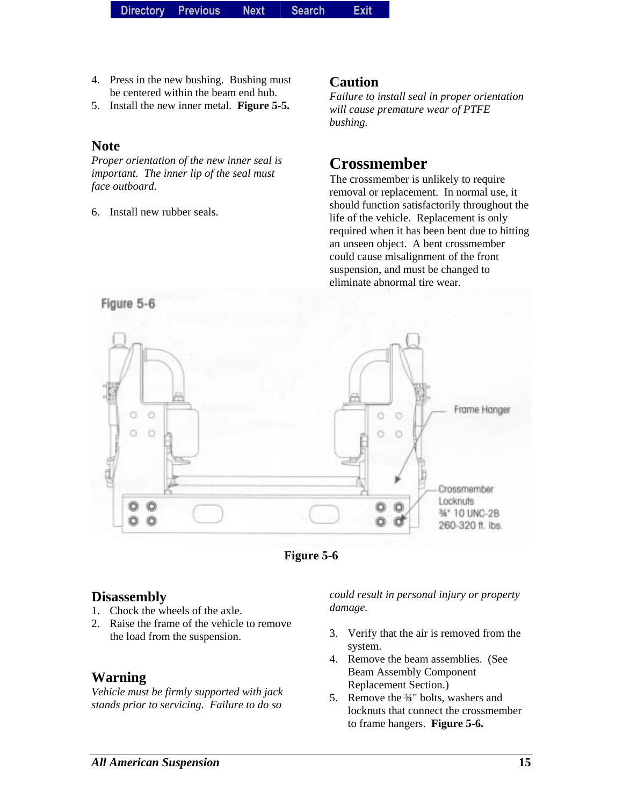- 4. Press in the new bushing. Bushing must be centered within the beam end hub.
- 5. Install the new inner metal. **Figure 5-5.**

#### **Note**

*Proper orientation of the new inner seal is important. The inner lip of the seal must face outboard.* 

6. Install new rubber seals.

#### **Caution**

*Failure to install seal in proper orientation will cause premature wear of PTFE bushing.* 

### **Crossmember**

The crossmember is unlikely to require removal or replacement. In normal use, it should function satisfactorily throughout the life of the vehicle. Replacement is only required when it has been bent due to hitting an unseen object. A bent crossmember could cause misalignment of the front suspension, and must be changed to eliminate abnormal tire wear.





#### **Disassembly**

- 1. Chock the wheels of the axle.
- 2. Raise the frame of the vehicle to remove the load from the suspension.

#### **Warning**

*Vehicle must be firmly supported with jack stands prior to servicing. Failure to do so* 

*could result in personal injury or property damage.* 

- 3. Verify that the air is removed from the system.
- 4. Remove the beam assemblies. (See Beam Assembly Component Replacement Section.)
- 5. Remove the <sup>3</sup>/<sub>4</sub>" bolts, washers and locknuts that connect the crossmember to frame hangers. **Figure 5-6.**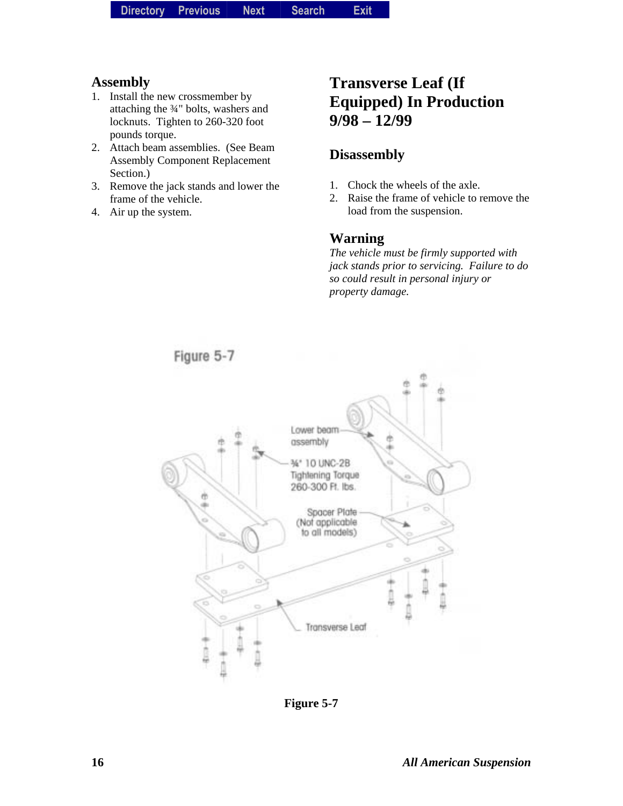- 1. Install the new crossmember by attaching the ¾" bolts, washers and locknuts. Tighten to 260-320 foot pounds torque.
- 2. Attach beam assemblies. (See Beam Assembly Component Replacement Section.)
- 3. Remove the jack stands and lower the frame of the vehicle.
- 4. Air up the system.

### **Transverse Leaf (If Equipped) In Production 9/98 – 12/99**

#### **Disassembly**

- 1. Chock the wheels of the axle.
- 2. Raise the frame of vehicle to remove the load from the suspension.

#### **Warning**

*The vehicle must be firmly supported with jack stands prior to servicing. Failure to do so could result in personal injury or property damage.* 



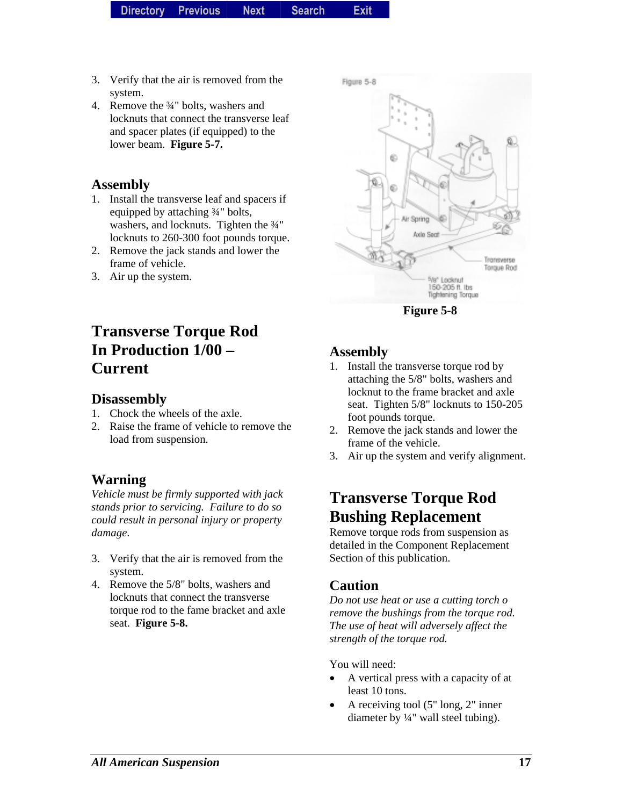- 3. Verify that the air is removed from the system.
- 4. Remove the ¾" bolts, washers and locknuts that connect the transverse leaf and spacer plates (if equipped) to the lower beam. **Figure 5-7.**

- 1. Install the transverse leaf and spacers if equipped by attaching ¾" bolts, washers, and locknuts. Tighten the 3/4" locknuts to 260-300 foot pounds torque.
- 2. Remove the jack stands and lower the frame of vehicle.
- 3. Air up the system.

### **Transverse Torque Rod In Production 1/00 – Current**

#### **Disassembly**

- 1. Chock the wheels of the axle.
- 2. Raise the frame of vehicle to remove the load from suspension.

#### **Warning**

*Vehicle must be firmly supported with jack stands prior to servicing. Failure to do so could result in personal injury or property damage*.

- 3. Verify that the air is removed from the system.
- 4. Remove the 5/8" bolts, washers and locknuts that connect the transverse torque rod to the fame bracket and axle seat. **Figure 5-8.**



**Figure 5-8** 

#### **Assembly**

- 1. Install the transverse torque rod by attaching the 5/8" bolts, washers and locknut to the frame bracket and axle seat. Tighten 5/8" locknuts to 150-205 foot pounds torque.
- 2. Remove the jack stands and lower the frame of the vehicle.
- 3. Air up the system and verify alignment.

### **Transverse Torque Rod Bushing Replacement**

Remove torque rods from suspension as detailed in the Component Replacement Section of this publication.

#### **Caution**

*Do not use heat or use a cutting torch o remove the bushings from the torque rod. The use of heat will adversely affect the strength of the torque rod.* 

You will need:

- A vertical press with a capacity of at least 10 tons.
- A receiving tool (5" long, 2" inner diameter by ¼" wall steel tubing).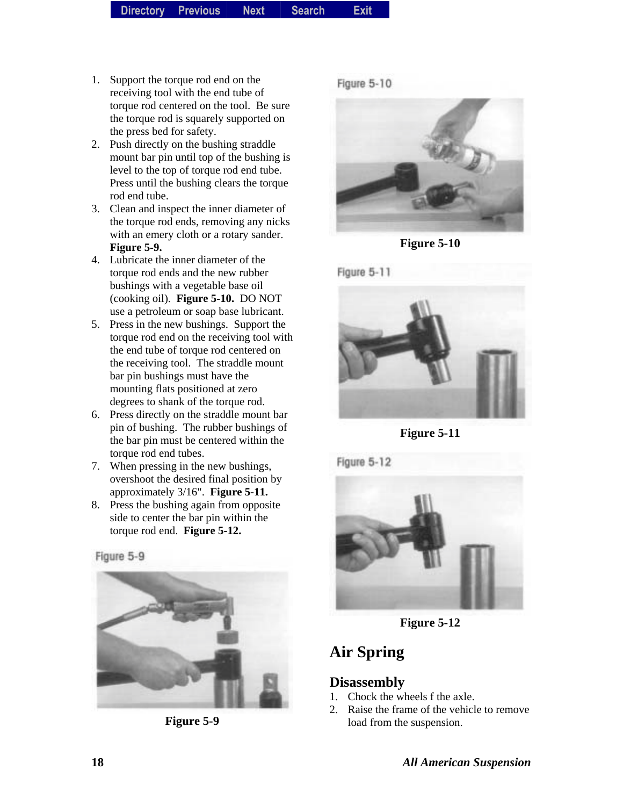- 1. Support the torque rod end on the receiving tool with the end tube of torque rod centered on the tool. Be sure the torque rod is squarely supported on the press bed for safety.
- 2. Push directly on the bushing straddle mount bar pin until top of the bushing is level to the top of torque rod end tube. Press until the bushing clears the torque rod end tube.
- 3. Clean and inspect the inner diameter of the torque rod ends, removing any nicks with an emery cloth or a rotary sander. **Figure 5-9.**
- 4. Lubricate the inner diameter of the torque rod ends and the new rubber bushings with a vegetable base oil (cooking oil). **Figure 5-10.** DO NOT use a petroleum or soap base lubricant.
- 5. Press in the new bushings. Support the torque rod end on the receiving tool with the end tube of torque rod centered on the receiving tool. The straddle mount bar pin bushings must have the mounting flats positioned at zero degrees to shank of the torque rod.
- 6. Press directly on the straddle mount bar pin of bushing. The rubber bushings of the bar pin must be centered within the torque rod end tubes.
- 7. When pressing in the new bushings, overshoot the desired final position by approximately 3/16". **Figure 5-11.**
- 8. Press the bushing again from opposite side to center the bar pin within the torque rod end. **Figure 5-12.**

Figure 5-9



**Figure 5-9** 





**Figure 5-10** 



**Figure 5-11** 



**Figure 5-12** 

### **Air Spring**

#### **Disassembly**

- 1. Chock the wheels f the axle.
- 2. Raise the frame of the vehicle to remove load from the suspension.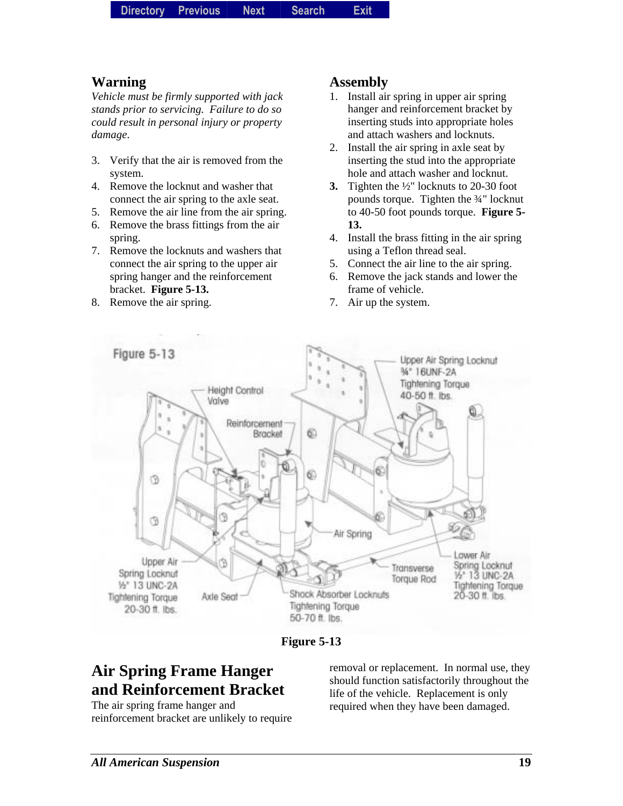#### **Warning**

*Vehicle must be firmly supported with jack stands prior to servicing. Failure to do so could result in personal injury or property damage*.

- 3. Verify that the air is removed from the system.
- 4. Remove the locknut and washer that connect the air spring to the axle seat.
- 5. Remove the air line from the air spring.
- 6. Remove the brass fittings from the air spring.
- 7. Remove the locknuts and washers that connect the air spring to the upper air spring hanger and the reinforcement bracket. **Figure 5-13.**
- 8. Remove the air spring.

#### **Assembly**

- 1. Install air spring in upper air spring hanger and reinforcement bracket by inserting studs into appropriate holes and attach washers and locknuts.
- 2. Install the air spring in axle seat by inserting the stud into the appropriate hole and attach washer and locknut.
- **3.** Tighten the ½" locknuts to 20-30 foot pounds torque. Tighten the ¾" locknut to 40-50 foot pounds torque. **Figure 5- 13.**
- 4. Install the brass fitting in the air spring using a Teflon thread seal.
- 5. Connect the air line to the air spring.
- 6. Remove the jack stands and lower the frame of vehicle.
- 7. Air up the system.



**Figure 5-13** 

### **Air Spring Frame Hanger and Reinforcement Bracket**

The air spring frame hanger and reinforcement bracket are unlikely to require removal or replacement. In normal use, they should function satisfactorily throughout the life of the vehicle. Replacement is only required when they have been damaged.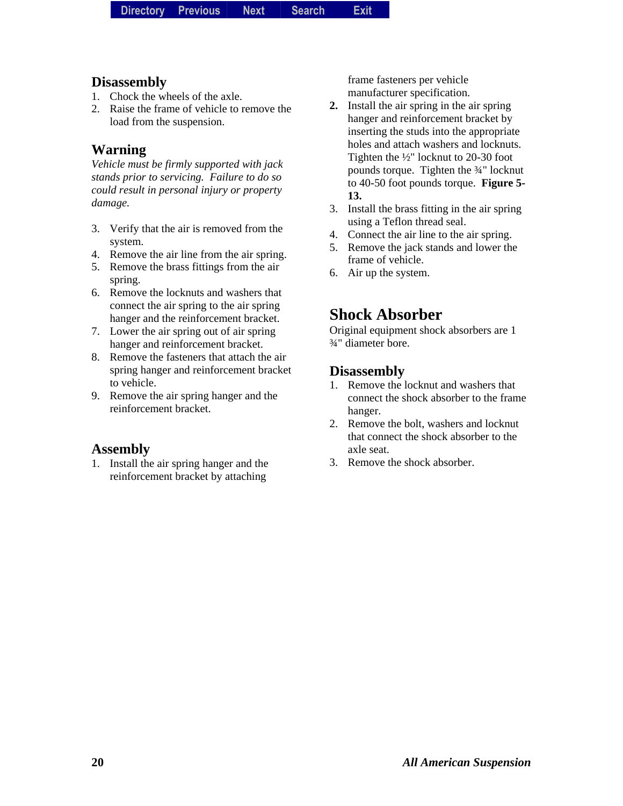#### **Disassembly**

- 1. Chock the wheels of the axle.
- 2. Raise the frame of vehicle to remove the load from the suspension.

#### **Warning**

*Vehicle must be firmly supported with jack stands prior to servicing. Failure to do so could result in personal injury or property damage.* 

- 3. Verify that the air is removed from the system.
- 4. Remove the air line from the air spring.
- 5. Remove the brass fittings from the air spring.
- 6. Remove the locknuts and washers that connect the air spring to the air spring hanger and the reinforcement bracket.
- 7. Lower the air spring out of air spring hanger and reinforcement bracket.
- 8. Remove the fasteners that attach the air spring hanger and reinforcement bracket to vehicle.
- 9. Remove the air spring hanger and the reinforcement bracket.

#### **Assembly**

1. Install the air spring hanger and the reinforcement bracket by attaching

frame fasteners per vehicle manufacturer specification.

- **2.** Install the air spring in the air spring hanger and reinforcement bracket by inserting the studs into the appropriate holes and attach washers and locknuts. Tighten the ½" locknut to 20-30 foot pounds torque. Tighten the ¾" locknut to 40-50 foot pounds torque. **Figure 5- 13.**
- 3. Install the brass fitting in the air spring using a Teflon thread seal.
- 4. Connect the air line to the air spring.
- 5. Remove the jack stands and lower the frame of vehicle.
- 6. Air up the system.

### **Shock Absorber**

Original equipment shock absorbers are 1 ¾" diameter bore.

#### **Disassembly**

- 1. Remove the locknut and washers that connect the shock absorber to the frame hanger.
- 2. Remove the bolt, washers and locknut that connect the shock absorber to the axle seat.
- 3. Remove the shock absorber.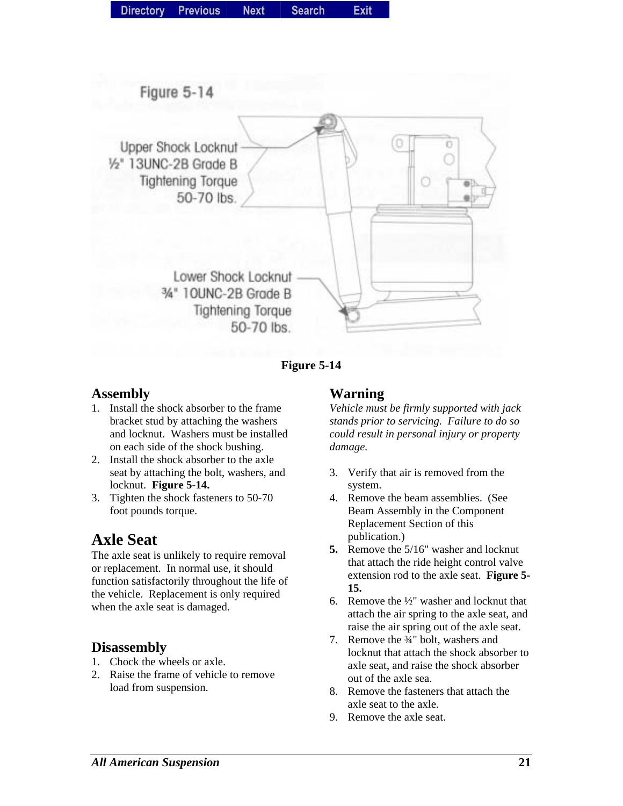



- 1. Install the shock absorber to the frame bracket stud by attaching the washers and locknut. Washers must be installed on each side of the shock bushing.
- 2. Install the shock absorber to the axle seat by attaching the bolt, washers, and locknut. **Figure 5-14.**
- 3. Tighten the shock fasteners to 50-70 foot pounds torque.

### **Axle Seat**

The axle seat is unlikely to require removal or replacement. In normal use, it should function satisfactorily throughout the life of the vehicle. Replacement is only required when the axle seat is damaged.

#### **Disassembly**

- 1. Chock the wheels or axle.
- 2. Raise the frame of vehicle to remove load from suspension.

#### **Warning**

*Vehicle must be firmly supported with jack stands prior to servicing. Failure to do so could result in personal injury or property damage.* 

- 3. Verify that air is removed from the system.
- 4. Remove the beam assemblies. (See Beam Assembly in the Component Replacement Section of this publication.)
- **5.** Remove the 5/16" washer and locknut that attach the ride height control valve extension rod to the axle seat. **Figure 5- 15.**
- 6. Remove the ½" washer and locknut that attach the air spring to the axle seat, and raise the air spring out of the axle seat.
- 7. Remove the ¾" bolt, washers and locknut that attach the shock absorber to axle seat, and raise the shock absorber out of the axle sea.
- 8. Remove the fasteners that attach the axle seat to the axle.
- 9. Remove the axle seat.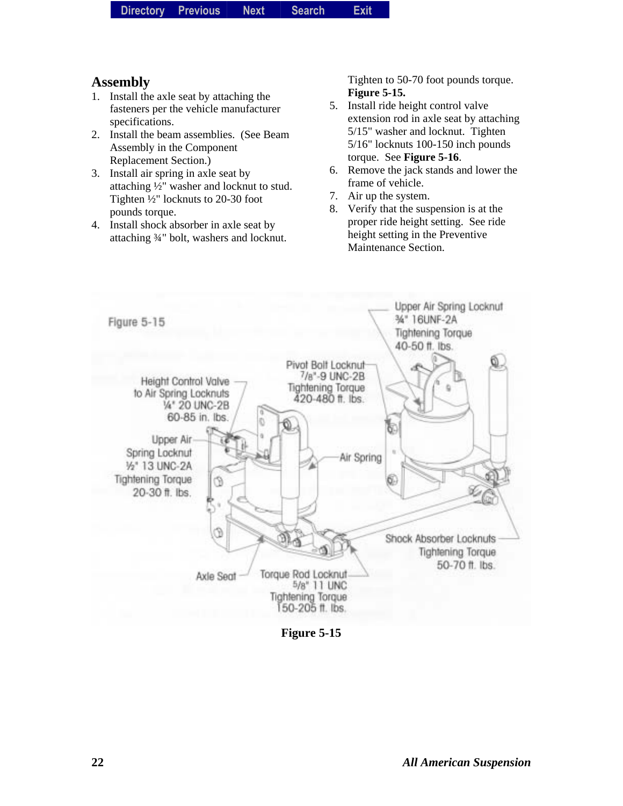| <b>Directory</b> | <b>Previous</b> | <b>Next</b> | <b>Search</b> | <b>Exit</b> |
|------------------|-----------------|-------------|---------------|-------------|
|------------------|-----------------|-------------|---------------|-------------|

- 1. Install the axle seat by attaching the fasteners per the vehicle manufacturer specifications.
- 2. Install the beam assemblies. (See Beam Assembly in the Component Replacement Section.)
- 3. Install air spring in axle seat by attaching ½" washer and locknut to stud. Tighten ½" locknuts to 20-30 foot pounds torque.
- 4. Install shock absorber in axle seat by attaching ¾" bolt, washers and locknut.

Tighten to 50-70 foot pounds torque. **Figure 5-15.**

- 5. Install ride height control valve extension rod in axle seat by attaching 5/15" washer and locknut. Tighten 5/16" locknuts 100-150 inch pounds torque. See **Figure 5-16**.
- 6. Remove the jack stands and lower the frame of vehicle.
- 7. Air up the system.
- 8. Verify that the suspension is at the proper ride height setting. See ride height setting in the Preventive Maintenance Section.



**Figure 5-15**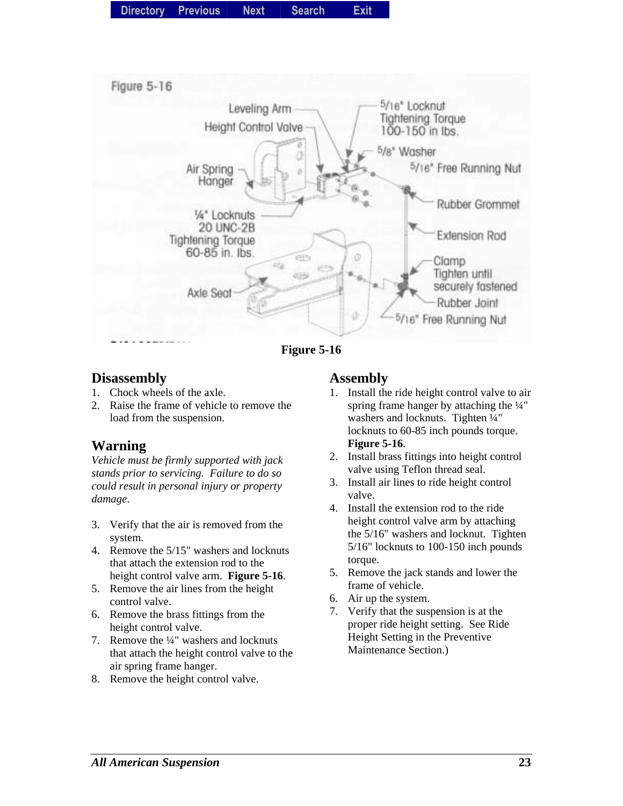| Directory Previous |  | <b>Next</b> | <b>Search</b> | Exit |
|--------------------|--|-------------|---------------|------|
|--------------------|--|-------------|---------------|------|



**Figure 5-16** 

#### **Disassembly**

- 1. Chock wheels of the axle.
- 2. Raise the frame of vehicle to remove the load from the suspension.

#### **Warning**

*Vehicle must be firmly supported with jack stands prior to servicing. Failure to do so could result in personal injury or property damage*.

- 3. Verify that the air is removed from the system.
- 4. Remove the 5/15" washers and locknuts that attach the extension rod to the height control valve arm. **Figure 5-16**.
- 5. Remove the air lines from the height control valve.
- 6. Remove the brass fittings from the height control valve.
- 7. Remove the ¼" washers and locknuts that attach the height control valve to the air spring frame hanger.
- 8. Remove the height control valve.

#### **Assembly**

- 1. Install the ride height control valve to air spring frame hanger by attaching the ¼" washers and locknuts. Tighten 1/4" locknuts to 60-85 inch pounds torque. **Figure 5-16**.
- 2. Install brass fittings into height control valve using Teflon thread seal.
- 3. Install air lines to ride height control valve.
- 4. Install the extension rod to the ride height control valve arm by attaching the 5/16" washers and locknut. Tighten 5/16" locknuts to 100-150 inch pounds torque.
- 5. Remove the jack stands and lower the frame of vehicle.
- 6. Air up the system.
- 7. Verify that the suspension is at the proper ride height setting. See Ride Height Setting in the Preventive Maintenance Section.)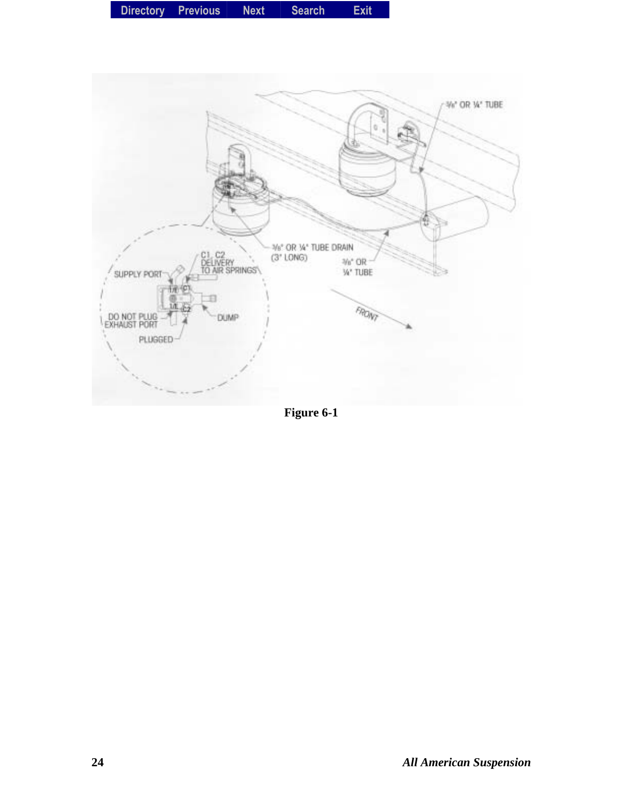